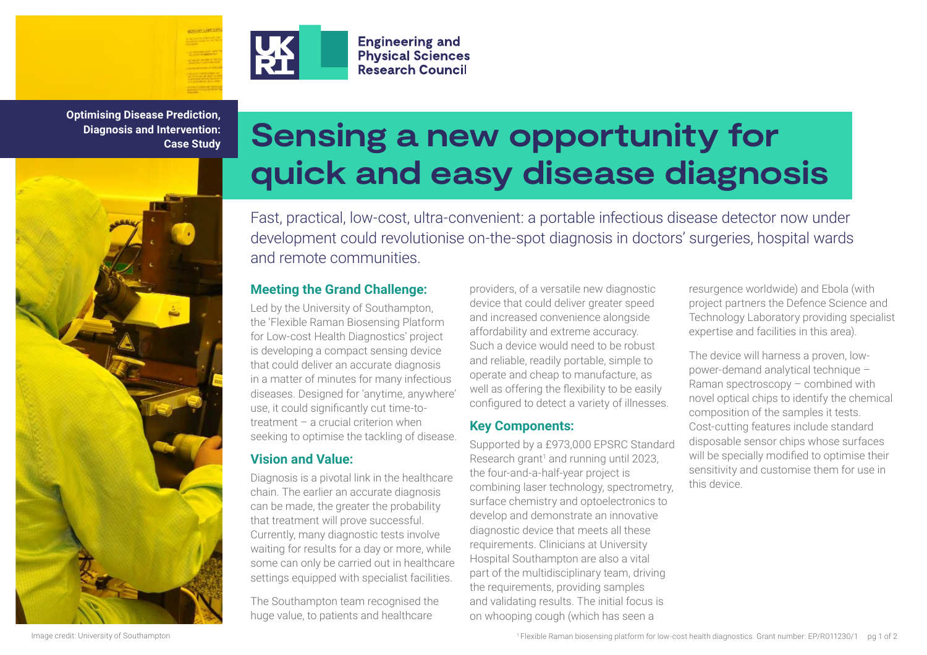

**Optimising Disease Prediction, Diagnosis and Intervention: Case Study**



# **Sensing a new opportunity for quick and easy disease diagnosis**

Fast, practical, low-cost, ultra-convenient: a portable infectious disease detector now under development could revolutionise on-the-spot diagnosis in doctors' surgeries, hospital wards and remote communities.

#### **Meeting the Grand Challenge:**

Led by the University of Southampton, the 'Flexible Raman Biosensing Platform for Low-cost Health Diagnostics' project is developing a compact sensing device that could deliver an accurate diagnosis in a matter of minutes for many infectious diseases. Designed for 'anytime, anywhere' use, it could significantly cut time-totreatment – a crucial criterion when seeking to optimise the tackling of disease.

**Engineering and Physical Sciences Research Council** 

# **Vision and Value:**

Diagnosis is a pivotal link in the healthcare chain. The earlier an accurate diagnosis can be made, the greater the probability that treatment will prove successful. Currently, many diagnostic tests involve waiting for results for a day or more, while some can only be carried out in healthcare settings equipped with specialist facilities.

The Southampton team recognised the huge value, to patients and healthcare

providers, of a versatile new diagnostic device that could deliver greater speed and increased convenience alongside affordability and extreme accuracy. Such a device would need to be robust and reliable, readily portable, simple to operate and cheap to manufacture, as well as offering the flexibility to be easily configured to detect a variety of illnesses.

#### **Key Components:**

Supported by a £973,000 EPSRC Standard Research grant<sup>1</sup> and running until 2023, the four-and-a-half-year project is combining laser technology, spectrometry, surface chemistry and optoelectronics to develop and demonstrate an innovative diagnostic device that meets all these requirements. Clinicians at University Hospital Southampton are also a vital part of the multidisciplinary team, driving the requirements, providing samples and validating results. The initial focus is on whooping cough (which has seen a

resurgence worldwide) and Ebola (with project partners the Defence Science and Technology Laboratory providing specialist expertise and facilities in this area).

The device will harness a proven, lowpower-demand analytical technique – Raman spectroscopy – combined with novel optical chips to identify the chemical composition of the samples it tests. Cost-cutting features include standard disposable sensor chips whose surfaces will be specially modified to optimise their sensitivity and customise them for use in this device.